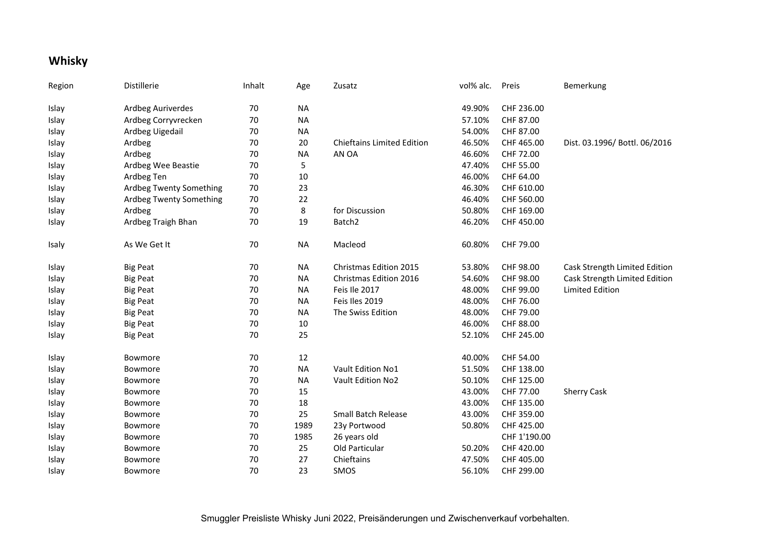## **Whisky**

| Region | Distillerie             | Inhalt | Age       | Zusatz                            | vol% alc. | Preis        | Bemerkung                     |
|--------|-------------------------|--------|-----------|-----------------------------------|-----------|--------------|-------------------------------|
| Islay  | Ardbeg Auriverdes       | 70     | <b>NA</b> |                                   | 49.90%    | CHF 236.00   |                               |
| Islay  | Ardbeg Corryvrecken     | 70     | <b>NA</b> |                                   | 57.10%    | CHF 87.00    |                               |
| Islay  | Ardbeg Uigedail         | 70     | <b>NA</b> |                                   | 54.00%    | CHF 87.00    |                               |
| Islay  | Ardbeg                  | 70     | 20        | <b>Chieftains Limited Edition</b> | 46.50%    | CHF 465.00   | Dist. 03.1996/ Bottl. 06/2016 |
| Islay  | Ardbeg                  | 70     | <b>NA</b> | AN OA                             | 46.60%    | CHF 72.00    |                               |
| Islay  | Ardbeg Wee Beastie      | 70     | 5         |                                   | 47.40%    | CHF 55.00    |                               |
| Islay  | Ardbeg Ten              | 70     | $10\,$    |                                   | 46.00%    | CHF 64.00    |                               |
| Islay  | Ardbeg Twenty Something | $70\,$ | 23        |                                   | 46.30%    | CHF 610.00   |                               |
| Islay  | Ardbeg Twenty Something | $70\,$ | 22        |                                   | 46.40%    | CHF 560.00   |                               |
| Islay  | Ardbeg                  | 70     | 8         | for Discussion                    | 50.80%    | CHF 169.00   |                               |
| Islay  | Ardbeg Traigh Bhan      | 70     | 19        | Batch <sub>2</sub>                | 46.20%    | CHF 450.00   |                               |
| Isaly  | As We Get It            | 70     | <b>NA</b> | Macleod                           | 60.80%    | CHF 79.00    |                               |
| Islay  | <b>Big Peat</b>         | 70     | <b>NA</b> | Christmas Edition 2015            | 53.80%    | CHF 98.00    | Cask Strength Limited Edition |
| Islay  | <b>Big Peat</b>         | 70     | NA        | Christmas Edition 2016            | 54.60%    | CHF 98.00    | Cask Strength Limited Edition |
| Islay  | <b>Big Peat</b>         | 70     | <b>NA</b> | Feis Ile 2017                     | 48.00%    | CHF 99.00    | <b>Limited Edition</b>        |
| Islay  | <b>Big Peat</b>         | 70     | <b>NA</b> | Feis Iles 2019                    | 48.00%    | CHF 76.00    |                               |
| Islay  | <b>Big Peat</b>         | 70     | <b>NA</b> | The Swiss Edition                 | 48.00%    | CHF 79.00    |                               |
| Islay  | <b>Big Peat</b>         | 70     | 10        |                                   | 46.00%    | CHF 88.00    |                               |
| Islay  | <b>Big Peat</b>         | 70     | 25        |                                   | 52.10%    | CHF 245.00   |                               |
| Islay  | Bowmore                 | 70     | 12        |                                   | 40.00%    | CHF 54.00    |                               |
| Islay  | Bowmore                 | 70     | <b>NA</b> | Vault Edition No1                 | 51.50%    | CHF 138.00   |                               |
| Islay  | Bowmore                 | 70     | <b>NA</b> | Vault Edition No2                 | 50.10%    | CHF 125.00   |                               |
| Islay  | Bowmore                 | 70     | 15        |                                   | 43.00%    | CHF 77.00    | <b>Sherry Cask</b>            |
| Islay  | Bowmore                 | 70     | 18        |                                   | 43.00%    | CHF 135.00   |                               |
| Islay  | Bowmore                 | 70     | 25        | <b>Small Batch Release</b>        | 43.00%    | CHF 359.00   |                               |
| Islay  | Bowmore                 | 70     | 1989      | 23y Portwood                      | 50.80%    | CHF 425.00   |                               |
| Islay  | Bowmore                 | 70     | 1985      | 26 years old                      |           | CHF 1'190.00 |                               |
| Islay  | Bowmore                 | 70     | 25        | Old Particular                    | 50.20%    | CHF 420.00   |                               |
| Islay  | Bowmore                 | 70     | 27        | Chieftains                        | 47.50%    | CHF 405.00   |                               |
| Islay  | Bowmore                 | 70     | 23        | SMOS                              | 56.10%    | CHF 299.00   |                               |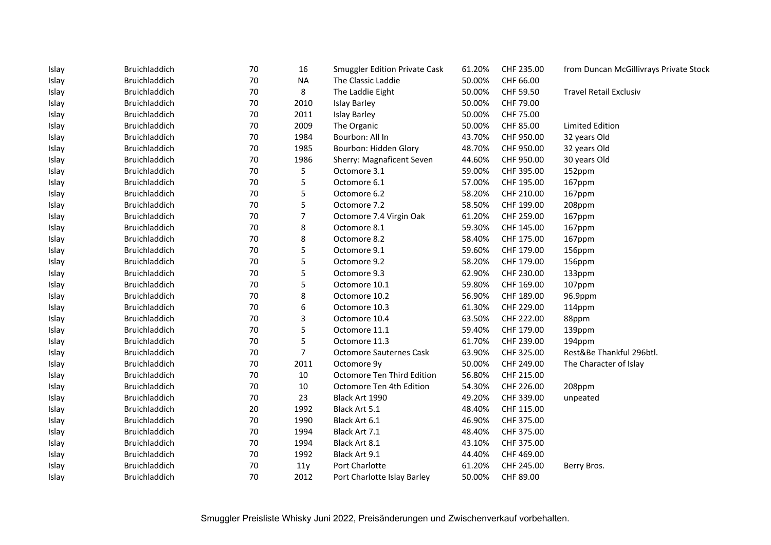| Islay | Bruichladdich | 70 | 16             | <b>Smuggler Edition Private Cask</b> | 61.20% | CHF 235.00 | from Duncan McGillivrays Private Stock |
|-------|---------------|----|----------------|--------------------------------------|--------|------------|----------------------------------------|
| Islay | Bruichladdich | 70 | <b>NA</b>      | The Classic Laddie                   | 50.00% | CHF 66.00  |                                        |
| Islay | Bruichladdich | 70 | 8              | The Laddie Eight                     | 50.00% | CHF 59.50  | <b>Travel Retail Exclusiv</b>          |
| Islay | Bruichladdich | 70 | 2010           | <b>Islay Barley</b>                  | 50.00% | CHF 79.00  |                                        |
| Islay | Bruichladdich | 70 | 2011           | <b>Islay Barley</b>                  | 50.00% | CHF 75.00  |                                        |
| Islay | Bruichladdich | 70 | 2009           | The Organic                          | 50.00% | CHF 85.00  | <b>Limited Edition</b>                 |
| Islay | Bruichladdich | 70 | 1984           | Bourbon: All In                      | 43.70% | CHF 950.00 | 32 years Old                           |
| Islay | Bruichladdich | 70 | 1985           | Bourbon: Hidden Glory                | 48.70% | CHF 950.00 | 32 years Old                           |
| Islay | Bruichladdich | 70 | 1986           | Sherry: Magnaficent Seven            | 44.60% | CHF 950.00 | 30 years Old                           |
| Islay | Bruichladdich | 70 | 5              | Octomore 3.1                         | 59.00% | CHF 395.00 | 152ppm                                 |
| Islay | Bruichladdich | 70 | 5              | Octomore 6.1                         | 57.00% | CHF 195.00 | 167ppm                                 |
| Islay | Bruichladdich | 70 | 5              | Octomore 6.2                         | 58.20% | CHF 210.00 | 167ppm                                 |
| Islay | Bruichladdich | 70 | 5              | Octomore 7.2                         | 58.50% | CHF 199.00 | 208ppm                                 |
| Islay | Bruichladdich | 70 | 7              | Octomore 7.4 Virgin Oak              | 61.20% | CHF 259.00 | 167ppm                                 |
| Islay | Bruichladdich | 70 | 8              | Octomore 8.1                         | 59.30% | CHF 145.00 | 167ppm                                 |
| Islay | Bruichladdich | 70 | 8              | Octomore 8.2                         | 58.40% | CHF 175.00 | 167ppm                                 |
| Islay | Bruichladdich | 70 | 5              | Octomore 9.1                         | 59.60% | CHF 179.00 | 156ppm                                 |
| Islay | Bruichladdich | 70 | 5              | Octomore 9.2                         | 58.20% | CHF 179.00 | 156ppm                                 |
| Islay | Bruichladdich | 70 | 5              | Octomore 9.3                         | 62.90% | CHF 230.00 | 133ppm                                 |
| Islay | Bruichladdich | 70 | 5              | Octomore 10.1                        | 59.80% | CHF 169.00 | 107ppm                                 |
| Islay | Bruichladdich | 70 | 8              | Octomore 10.2                        | 56.90% | CHF 189.00 | 96.9ppm                                |
| Islay | Bruichladdich | 70 | 6              | Octomore 10.3                        | 61.30% | CHF 229.00 | 114ppm                                 |
| Islay | Bruichladdich | 70 | 3              | Octomore 10.4                        | 63.50% | CHF 222.00 | 88ppm                                  |
| Islay | Bruichladdich | 70 | 5              | Octomore 11.1                        | 59.40% | CHF 179.00 | 139ppm                                 |
| Islay | Bruichladdich | 70 | 5              | Octomore 11.3                        | 61.70% | CHF 239.00 | 194ppm                                 |
| Islay | Bruichladdich | 70 | $\overline{7}$ | <b>Octomore Sauternes Cask</b>       | 63.90% | CHF 325.00 | Rest&Be Thankful 296btl.               |
| Islay | Bruichladdich | 70 | 2011           | Octomore 9y                          | 50.00% | CHF 249.00 | The Character of Islay                 |
| Islay | Bruichladdich | 70 | 10             | Octomore Ten Third Edition           | 56.80% | CHF 215.00 |                                        |
| Islay | Bruichladdich | 70 | 10             | Octomore Ten 4th Edition             | 54.30% | CHF 226.00 | 208ppm                                 |
| Islay | Bruichladdich | 70 | 23             | Black Art 1990                       | 49.20% | CHF 339.00 | unpeated                               |
| Islay | Bruichladdich | 20 | 1992           | Black Art 5.1                        | 48.40% | CHF 115.00 |                                        |
| Islay | Bruichladdich | 70 | 1990           | Black Art 6.1                        | 46.90% | CHF 375.00 |                                        |
| Islay | Bruichladdich | 70 | 1994           | Black Art 7.1                        | 48.40% | CHF 375.00 |                                        |
| Islay | Bruichladdich | 70 | 1994           | Black Art 8.1                        | 43.10% | CHF 375.00 |                                        |
| Islay | Bruichladdich | 70 | 1992           | Black Art 9.1                        | 44.40% | CHF 469.00 |                                        |
| Islay | Bruichladdich | 70 | 11y            | Port Charlotte                       | 61.20% | CHF 245.00 | Berry Bros.                            |
| Islay | Bruichladdich | 70 | 2012           | Port Charlotte Islay Barley          | 50.00% | CHF 89.00  |                                        |
|       |               |    |                |                                      |        |            |                                        |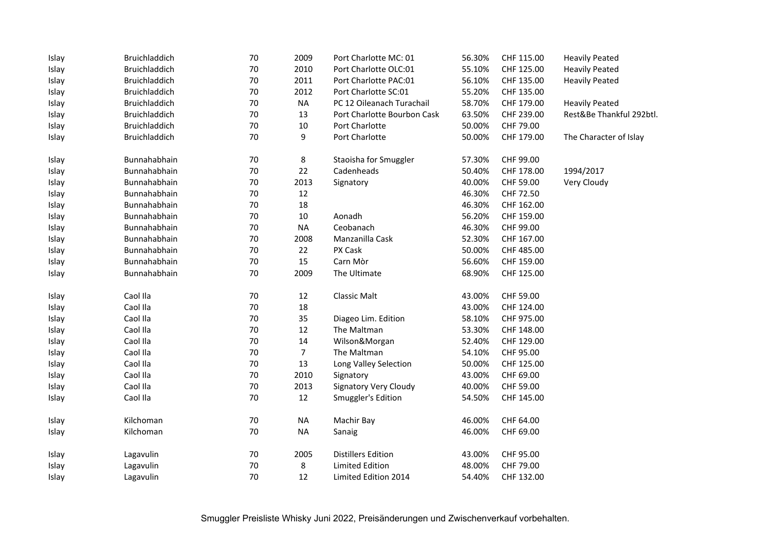| Islay | Bruichladdich | 70     | 2009             | Port Charlotte MC: 01        | 56.30% | CHF 115.00 | <b>Heavily Peated</b>    |
|-------|---------------|--------|------------------|------------------------------|--------|------------|--------------------------|
| Islay | Bruichladdich | 70     | 2010             | Port Charlotte OLC:01        | 55.10% | CHF 125.00 | <b>Heavily Peated</b>    |
| Islay | Bruichladdich | $70\,$ | 2011             | Port Charlotte PAC:01        | 56.10% | CHF 135.00 | <b>Heavily Peated</b>    |
| Islay | Bruichladdich | 70     | 2012             | Port Charlotte SC:01         | 55.20% | CHF 135.00 |                          |
| Islay | Bruichladdich | 70     | <b>NA</b>        | PC 12 Oileanach Turachail    | 58.70% | CHF 179.00 | <b>Heavily Peated</b>    |
| Islay | Bruichladdich | 70     | 13               | Port Charlotte Bourbon Cask  | 63.50% | CHF 239.00 | Rest&Be Thankful 292btl. |
| Islay | Bruichladdich | 70     | $10\,$           | Port Charlotte               | 50.00% | CHF 79.00  |                          |
| Islay | Bruichladdich | 70     | 9                | Port Charlotte               | 50.00% | CHF 179.00 | The Character of Islay   |
| Islay | Bunnahabhain  | $70\,$ | 8                | Staoisha for Smuggler        | 57.30% | CHF 99.00  |                          |
| Islay | Bunnahabhain  | 70     | 22               | Cadenheads                   | 50.40% | CHF 178.00 | 1994/2017                |
| Islay | Bunnahabhain  | 70     | 2013             | Signatory                    | 40.00% | CHF 59.00  | Very Cloudy              |
| Islay | Bunnahabhain  | $70\,$ | 12               |                              | 46.30% | CHF 72.50  |                          |
| Islay | Bunnahabhain  | 70     | 18               |                              | 46.30% | CHF 162.00 |                          |
| Islay | Bunnahabhain  | 70     | $10\,$           | Aonadh                       | 56.20% | CHF 159.00 |                          |
| Islay | Bunnahabhain  | 70     | <b>NA</b>        | Ceobanach                    | 46.30% | CHF 99.00  |                          |
| Islay | Bunnahabhain  | $70\,$ | 2008             | Manzanilla Cask              | 52.30% | CHF 167.00 |                          |
| Islay | Bunnahabhain  | 70     | 22               | PX Cask                      | 50.00% | CHF 485.00 |                          |
| Islay | Bunnahabhain  | 70     | 15               | Carn Mòr                     | 56.60% | CHF 159.00 |                          |
| Islay | Bunnahabhain  | 70     | 2009             | The Ultimate                 | 68.90% | CHF 125.00 |                          |
| Islay | Caol Ila      | 70     | 12               | Classic Malt                 | 43.00% | CHF 59.00  |                          |
| Islay | Caol Ila      | 70     | $18\,$           |                              | 43.00% | CHF 124.00 |                          |
| Islay | Caol Ila      | $70\,$ | 35               | Diageo Lim. Edition          | 58.10% | CHF 975.00 |                          |
| Islay | Caol Ila      | 70     | 12               | The Maltman                  | 53.30% | CHF 148.00 |                          |
| Islay | Caol Ila      | 70     | 14               | Wilson&Morgan                | 52.40% | CHF 129.00 |                          |
| Islay | Caol Ila      | 70     | $\boldsymbol{7}$ | The Maltman                  | 54.10% | CHF 95.00  |                          |
| Islay | Caol Ila      | 70     | 13               | Long Valley Selection        | 50.00% | CHF 125.00 |                          |
| Islay | Caol Ila      | 70     | 2010             | Signatory                    | 43.00% | CHF 69.00  |                          |
| Islay | Caol Ila      | 70     | 2013             | <b>Signatory Very Cloudy</b> | 40.00% | CHF 59.00  |                          |
| Islay | Caol Ila      | 70     | 12               | Smuggler's Edition           | 54.50% | CHF 145.00 |                          |
| Islay | Kilchoman     | 70     | <b>NA</b>        | Machir Bay                   | 46.00% | CHF 64.00  |                          |
| Islay | Kilchoman     | 70     | <b>NA</b>        | Sanaig                       | 46.00% | CHF 69.00  |                          |
| Islay | Lagavulin     | 70     | 2005             | <b>Distillers Edition</b>    | 43.00% | CHF 95.00  |                          |
| Islay | Lagavulin     | 70     | 8                | <b>Limited Edition</b>       | 48.00% | CHF 79.00  |                          |
| Islay | Lagavulin     | 70     | 12               | Limited Edition 2014         | 54.40% | CHF 132.00 |                          |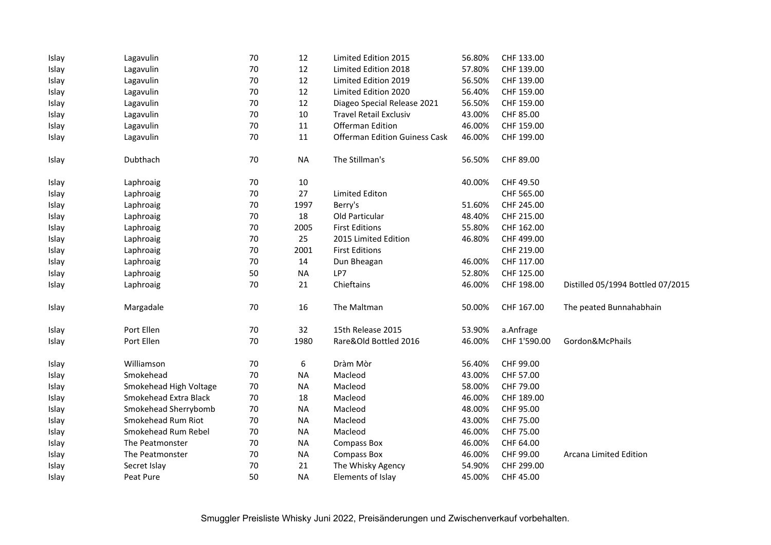| Islay | Lagavulin              | 70     | 12        | Limited Edition 2015                 | 56.80% | CHF 133.00   |                                   |
|-------|------------------------|--------|-----------|--------------------------------------|--------|--------------|-----------------------------------|
| Islay | Lagavulin              | 70     | 12        | Limited Edition 2018                 | 57.80% | CHF 139.00   |                                   |
| Islay | Lagavulin              | $70\,$ | 12        | Limited Edition 2019                 | 56.50% | CHF 139.00   |                                   |
| Islay | Lagavulin              | 70     | 12        | Limited Edition 2020                 | 56.40% | CHF 159.00   |                                   |
| Islay | Lagavulin              | 70     | 12        | Diageo Special Release 2021          | 56.50% | CHF 159.00   |                                   |
| Islay | Lagavulin              | 70     | 10        | <b>Travel Retail Exclusiv</b>        | 43.00% | CHF 85.00    |                                   |
| Islay | Lagavulin              | 70     | 11        | Offerman Edition                     | 46.00% | CHF 159.00   |                                   |
| Islay | Lagavulin              | 70     | 11        | <b>Offerman Edition Guiness Cask</b> | 46.00% | CHF 199.00   |                                   |
| Islay | Dubthach               | 70     | <b>NA</b> | The Stillman's                       | 56.50% | CHF 89.00    |                                   |
| Islay | Laphroaig              | 70     | 10        |                                      | 40.00% | CHF 49.50    |                                   |
| Islay | Laphroaig              | $70\,$ | 27        | <b>Limited Editon</b>                |        | CHF 565.00   |                                   |
| Islay | Laphroaig              | 70     | 1997      | Berry's                              | 51.60% | CHF 245.00   |                                   |
| Islay | Laphroaig              | 70     | 18        | Old Particular                       | 48.40% | CHF 215.00   |                                   |
| Islay | Laphroaig              | 70     | 2005      | <b>First Editions</b>                | 55.80% | CHF 162.00   |                                   |
| Islay | Laphroaig              | $70\,$ | 25        | 2015 Limited Edition                 | 46.80% | CHF 499.00   |                                   |
| Islay | Laphroaig              | 70     | 2001      | <b>First Editions</b>                |        | CHF 219.00   |                                   |
| Islay | Laphroaig              | 70     | 14        | Dun Bheagan                          | 46.00% | CHF 117.00   |                                   |
| Islay | Laphroaig              | 50     | <b>NA</b> | LP7                                  | 52.80% | CHF 125.00   |                                   |
| Islay | Laphroaig              | 70     | 21        | Chieftains                           | 46.00% | CHF 198.00   | Distilled 05/1994 Bottled 07/2015 |
| Islay | Margadale              | 70     | 16        | The Maltman                          | 50.00% | CHF 167.00   | The peated Bunnahabhain           |
| Islay | Port Ellen             | 70     | 32        | 15th Release 2015                    | 53.90% | a.Anfrage    |                                   |
| Islay | Port Ellen             | 70     | 1980      | Rare&Old Bottled 2016                | 46.00% | CHF 1'590.00 | Gordon&McPhails                   |
| Islay | Williamson             | $70\,$ | 6         | Dràm Mòr                             | 56.40% | CHF 99.00    |                                   |
| Islay | Smokehead              | 70     | <b>NA</b> | Macleod                              | 43.00% | CHF 57.00    |                                   |
| Islay | Smokehead High Voltage | 70     | <b>NA</b> | Macleod                              | 58.00% | CHF 79.00    |                                   |
| Islay | Smokehead Extra Black  | 70     | 18        | Macleod                              | 46.00% | CHF 189.00   |                                   |
| Islay | Smokehead Sherrybomb   | 70     | <b>NA</b> | Macleod                              | 48.00% | CHF 95.00    |                                   |
| Islay | Smokehead Rum Riot     | 70     | <b>NA</b> | Macleod                              | 43.00% | CHF 75.00    |                                   |
| Islay | Smokehead Rum Rebel    | 70     | <b>NA</b> | Macleod                              | 46.00% | CHF 75.00    |                                   |
| Islay | The Peatmonster        | $70\,$ | <b>NA</b> | <b>Compass Box</b>                   | 46.00% | CHF 64.00    |                                   |
| Islay | The Peatmonster        | 70     | <b>NA</b> | <b>Compass Box</b>                   | 46.00% | CHF 99.00    | Arcana Limited Edition            |
| Islay | Secret Islay           | 70     | 21        | The Whisky Agency                    | 54.90% | CHF 299.00   |                                   |
| Islay | Peat Pure              | 50     | <b>NA</b> | Elements of Islay                    | 45.00% | CHF 45.00    |                                   |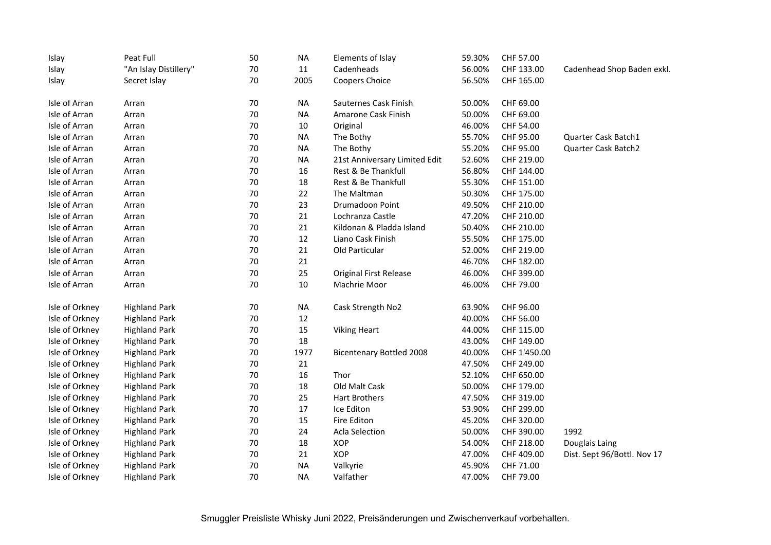| Islay          | Peat Full             | 50     | <b>NA</b> | Elements of Islay               | 59.30% | CHF 57.00    |                             |
|----------------|-----------------------|--------|-----------|---------------------------------|--------|--------------|-----------------------------|
| Islay          | "An Islay Distillery" | 70     | 11        | Cadenheads                      | 56.00% | CHF 133.00   | Cadenhead Shop Baden exkl.  |
| Islay          | Secret Islay          | 70     | 2005      | Coopers Choice                  | 56.50% | CHF 165.00   |                             |
| Isle of Arran  | Arran                 | 70     | <b>NA</b> | Sauternes Cask Finish           | 50.00% | CHF 69.00    |                             |
| Isle of Arran  | Arran                 | 70     | <b>NA</b> | Amarone Cask Finish             | 50.00% | CHF 69.00    |                             |
| Isle of Arran  | Arran                 | 70     | 10        | Original                        | 46.00% | CHF 54.00    |                             |
| Isle of Arran  | Arran                 | 70     | <b>NA</b> | The Bothy                       | 55.70% | CHF 95.00    | Quarter Cask Batch1         |
| Isle of Arran  | Arran                 | 70     | <b>NA</b> | The Bothy                       | 55.20% | CHF 95.00    | Quarter Cask Batch2         |
| Isle of Arran  | Arran                 | 70     | <b>NA</b> | 21st Anniversary Limited Edit   | 52.60% | CHF 219.00   |                             |
| Isle of Arran  | Arran                 | 70     | 16        | Rest & Be Thankfull             | 56.80% | CHF 144.00   |                             |
| Isle of Arran  | Arran                 | 70     | 18        | Rest & Be Thankfull             | 55.30% | CHF 151.00   |                             |
| Isle of Arran  | Arran                 | 70     | 22        | The Maltman                     | 50.30% | CHF 175.00   |                             |
| Isle of Arran  | Arran                 | 70     | 23        | Drumadoon Point                 | 49.50% | CHF 210.00   |                             |
| Isle of Arran  | Arran                 | 70     | 21        | Lochranza Castle                | 47.20% | CHF 210.00   |                             |
| Isle of Arran  | Arran                 | 70     | 21        | Kildonan & Pladda Island        | 50.40% | CHF 210.00   |                             |
| Isle of Arran  | Arran                 | 70     | 12        | Liano Cask Finish               | 55.50% | CHF 175.00   |                             |
| Isle of Arran  | Arran                 | 70     | 21        | Old Particular                  | 52.00% | CHF 219.00   |                             |
| Isle of Arran  | Arran                 | $70\,$ | 21        |                                 | 46.70% | CHF 182.00   |                             |
| Isle of Arran  | Arran                 | 70     | 25        | <b>Original First Release</b>   | 46.00% | CHF 399.00   |                             |
| Isle of Arran  | Arran                 | 70     | 10        | Machrie Moor                    | 46.00% | CHF 79.00    |                             |
| Isle of Orkney | <b>Highland Park</b>  | 70     | <b>NA</b> | Cask Strength No2               | 63.90% | CHF 96.00    |                             |
| Isle of Orkney | <b>Highland Park</b>  | 70     | 12        |                                 | 40.00% | CHF 56.00    |                             |
| Isle of Orkney | <b>Highland Park</b>  | 70     | 15        | <b>Viking Heart</b>             | 44.00% | CHF 115.00   |                             |
| Isle of Orkney | <b>Highland Park</b>  | 70     | 18        |                                 | 43.00% | CHF 149.00   |                             |
| Isle of Orkney | <b>Highland Park</b>  | 70     | 1977      | <b>Bicentenary Bottled 2008</b> | 40.00% | CHF 1'450.00 |                             |
| Isle of Orkney | <b>Highland Park</b>  | 70     | 21        |                                 | 47.50% | CHF 249.00   |                             |
| Isle of Orkney | <b>Highland Park</b>  | 70     | 16        | Thor                            | 52.10% | CHF 650.00   |                             |
| Isle of Orkney | <b>Highland Park</b>  | 70     | 18        | Old Malt Cask                   | 50.00% | CHF 179.00   |                             |
| Isle of Orkney | <b>Highland Park</b>  | 70     | 25        | <b>Hart Brothers</b>            | 47.50% | CHF 319.00   |                             |
| Isle of Orkney | <b>Highland Park</b>  | 70     | 17        | Ice Editon                      | 53.90% | CHF 299.00   |                             |
| Isle of Orkney | <b>Highland Park</b>  | 70     | 15        | Fire Editon                     | 45.20% | CHF 320.00   |                             |
| Isle of Orkney | <b>Highland Park</b>  | 70     | 24        | <b>Acla Selection</b>           | 50.00% | CHF 390.00   | 1992                        |
| Isle of Orkney | <b>Highland Park</b>  | 70     | 18        | XOP                             | 54.00% | CHF 218.00   | Douglais Laing              |
| Isle of Orkney | <b>Highland Park</b>  | 70     | 21        | <b>XOP</b>                      | 47.00% | CHF 409.00   | Dist. Sept 96/Bottl. Nov 17 |
| Isle of Orkney | <b>Highland Park</b>  | 70     | <b>NA</b> | Valkyrie                        | 45.90% | CHF 71.00    |                             |
| Isle of Orkney | <b>Highland Park</b>  | 70     | <b>NA</b> | Valfather                       | 47.00% | CHF 79.00    |                             |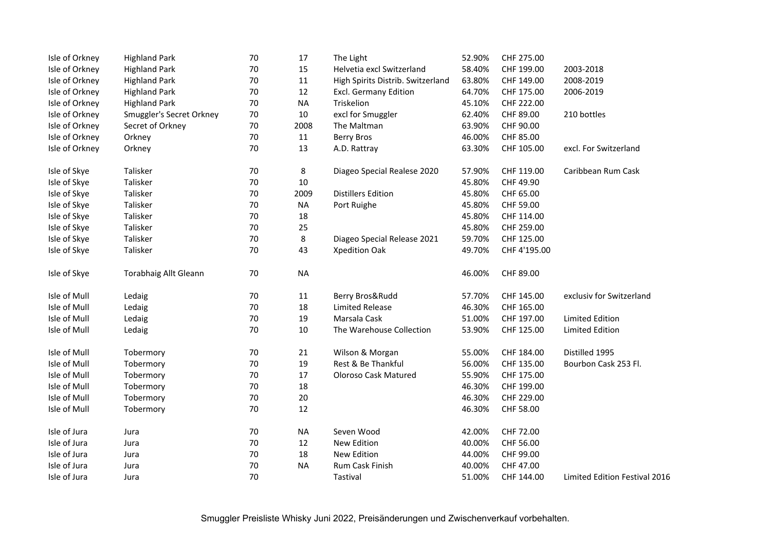| Isle of Orkney | <b>Highland Park</b>         | 70 | 17        | The Light                         | 52.90% | CHF 275.00   |                               |
|----------------|------------------------------|----|-----------|-----------------------------------|--------|--------------|-------------------------------|
| Isle of Orkney | <b>Highland Park</b>         | 70 | 15        | Helvetia excl Switzerland         | 58.40% | CHF 199.00   | 2003-2018                     |
| Isle of Orkney | <b>Highland Park</b>         | 70 | $11\,$    | High Spirits Distrib. Switzerland | 63.80% | CHF 149.00   | 2008-2019                     |
| Isle of Orkney | <b>Highland Park</b>         | 70 | 12        | <b>Excl. Germany Edition</b>      | 64.70% | CHF 175.00   | 2006-2019                     |
| Isle of Orkney | <b>Highland Park</b>         | 70 | <b>NA</b> | Triskelion                        | 45.10% | CHF 222.00   |                               |
| Isle of Orkney | Smuggler's Secret Orkney     | 70 | 10        | excl for Smuggler                 | 62.40% | CHF 89.00    | 210 bottles                   |
| Isle of Orkney | Secret of Orkney             | 70 | 2008      | The Maltman                       | 63.90% | CHF 90.00    |                               |
| Isle of Orkney | Orkney                       | 70 | 11        | <b>Berry Bros</b>                 | 46.00% | CHF 85.00    |                               |
| Isle of Orkney | Orkney                       | 70 | 13        | A.D. Rattray                      | 63.30% | CHF 105.00   | excl. For Switzerland         |
| Isle of Skye   | Talisker                     | 70 | 8         | Diageo Special Realese 2020       | 57.90% | CHF 119.00   | Caribbean Rum Cask            |
| Isle of Skye   | Talisker                     | 70 | 10        |                                   | 45.80% | CHF 49.90    |                               |
| Isle of Skye   | Talisker                     | 70 | 2009      | <b>Distillers Edition</b>         | 45.80% | CHF 65.00    |                               |
| Isle of Skye   | Talisker                     | 70 | <b>NA</b> | Port Ruighe                       | 45.80% | CHF 59.00    |                               |
| Isle of Skye   | Talisker                     | 70 | 18        |                                   | 45.80% | CHF 114.00   |                               |
| Isle of Skye   | Talisker                     | 70 | 25        |                                   | 45.80% | CHF 259.00   |                               |
| Isle of Skye   | Talisker                     | 70 | 8         | Diageo Special Release 2021       | 59.70% | CHF 125.00   |                               |
| Isle of Skye   | Talisker                     | 70 | 43        | Xpedition Oak                     | 49.70% | CHF 4'195.00 |                               |
| Isle of Skye   | <b>Torabhaig Allt Gleann</b> | 70 | <b>NA</b> |                                   | 46.00% | CHF 89.00    |                               |
| Isle of Mull   | Ledaig                       | 70 | $11\,$    | Berry Bros&Rudd                   | 57.70% | CHF 145.00   | exclusiv for Switzerland      |
| Isle of Mull   | Ledaig                       | 70 | 18        | <b>Limited Release</b>            | 46.30% | CHF 165.00   |                               |
| Isle of Mull   | Ledaig                       | 70 | 19        | Marsala Cask                      | 51.00% | CHF 197.00   | <b>Limited Edition</b>        |
| Isle of Mull   | Ledaig                       | 70 | 10        | The Warehouse Collection          | 53.90% | CHF 125.00   | <b>Limited Edition</b>        |
| Isle of Mull   | Tobermory                    | 70 | 21        | Wilson & Morgan                   | 55.00% | CHF 184.00   | Distilled 1995                |
| Isle of Mull   | Tobermory                    | 70 | 19        | Rest & Be Thankful                | 56.00% | CHF 135.00   | Bourbon Cask 253 Fl.          |
| Isle of Mull   | Tobermory                    | 70 | 17        | <b>Oloroso Cask Matured</b>       | 55.90% | CHF 175.00   |                               |
| Isle of Mull   | Tobermory                    | 70 | 18        |                                   | 46.30% | CHF 199.00   |                               |
| Isle of Mull   | Tobermory                    | 70 | 20        |                                   | 46.30% | CHF 229.00   |                               |
| Isle of Mull   | Tobermory                    | 70 | 12        |                                   | 46.30% | CHF 58.00    |                               |
| Isle of Jura   | Jura                         | 70 | <b>NA</b> | Seven Wood                        | 42.00% | CHF 72.00    |                               |
| Isle of Jura   | Jura                         | 70 | 12        | New Edition                       | 40.00% | CHF 56.00    |                               |
| Isle of Jura   | Jura                         | 70 | 18        | New Edition                       | 44.00% | CHF 99.00    |                               |
| Isle of Jura   | Jura                         | 70 | <b>NA</b> | Rum Cask Finish                   | 40.00% | CHF 47.00    |                               |
| Isle of Jura   | Jura                         | 70 |           | Tastival                          | 51.00% | CHF 144.00   | Limited Edition Festival 2016 |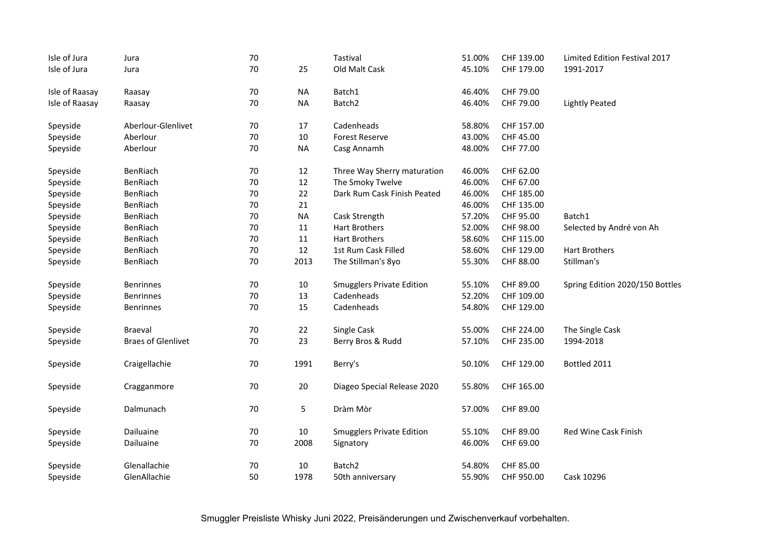| Isle of Jura   | Jura                      | 70 |           | Tastival                         | 51.00% | CHF 139.00 | Limited Edition Festival 2017   |
|----------------|---------------------------|----|-----------|----------------------------------|--------|------------|---------------------------------|
| Isle of Jura   | Jura                      | 70 | 25        | Old Malt Cask                    | 45.10% | CHF 179.00 | 1991-2017                       |
|                |                           |    |           |                                  |        |            |                                 |
| Isle of Raasay | Raasay                    | 70 | <b>NA</b> | Batch1                           | 46.40% | CHF 79.00  |                                 |
| Isle of Raasay | Raasay                    | 70 | <b>NA</b> | Batch <sub>2</sub>               | 46.40% | CHF 79.00  | <b>Lightly Peated</b>           |
| Speyside       | Aberlour-Glenlivet        | 70 | 17        | Cadenheads                       | 58.80% | CHF 157.00 |                                 |
| Speyside       | Aberlour                  | 70 | $10\,$    | <b>Forest Reserve</b>            | 43.00% | CHF 45.00  |                                 |
| Speyside       | Aberlour                  | 70 | <b>NA</b> | Casg Annamh                      | 48.00% | CHF 77.00  |                                 |
| Speyside       | BenRiach                  | 70 | 12        | Three Way Sherry maturation      | 46.00% | CHF 62.00  |                                 |
| Speyside       | BenRiach                  | 70 | $12\,$    | The Smoky Twelve                 | 46.00% | CHF 67.00  |                                 |
| Speyside       | BenRiach                  | 70 | 22        | Dark Rum Cask Finish Peated      | 46.00% | CHF 185.00 |                                 |
| Speyside       | BenRiach                  | 70 | 21        |                                  | 46.00% | CHF 135.00 |                                 |
| Speyside       | BenRiach                  | 70 | <b>NA</b> | Cask Strength                    | 57.20% | CHF 95.00  | Batch1                          |
| Speyside       | BenRiach                  | 70 | 11        | <b>Hart Brothers</b>             | 52.00% | CHF 98.00  | Selected by André von Ah        |
| Speyside       | BenRiach                  | 70 | $11\,$    | <b>Hart Brothers</b>             | 58.60% | CHF 115.00 |                                 |
| Speyside       | BenRiach                  | 70 | 12        | 1st Rum Cask Filled              | 58.60% | CHF 129.00 | <b>Hart Brothers</b>            |
| Speyside       | BenRiach                  | 70 | 2013      | The Stillman's 8yo               | 55.30% | CHF 88.00  | Stillman's                      |
| Speyside       | <b>Benrinnes</b>          | 70 | $10\,$    | <b>Smugglers Private Edition</b> | 55.10% | CHF 89.00  | Spring Edition 2020/150 Bottles |
| Speyside       | <b>Benrinnes</b>          | 70 | 13        | Cadenheads                       | 52.20% | CHF 109.00 |                                 |
| Speyside       | <b>Benrinnes</b>          | 70 | 15        | Cadenheads                       | 54.80% | CHF 129.00 |                                 |
| Speyside       | Braeval                   | 70 | 22        | Single Cask                      | 55.00% | CHF 224.00 | The Single Cask                 |
| Speyside       | <b>Braes of Glenlivet</b> | 70 | 23        | Berry Bros & Rudd                | 57.10% | CHF 235.00 | 1994-2018                       |
|                |                           |    |           |                                  |        |            |                                 |
| Speyside       | Craigellachie             | 70 | 1991      | Berry's                          | 50.10% | CHF 129.00 | Bottled 2011                    |
| Speyside       | Cragganmore               | 70 | $20\,$    | Diageo Special Release 2020      | 55.80% | CHF 165.00 |                                 |
| Speyside       | Dalmunach                 | 70 | 5         | Dràm Mòr                         | 57.00% | CHF 89.00  |                                 |
| Speyside       | Dailuaine                 | 70 | $10\,$    | <b>Smugglers Private Edition</b> | 55.10% | CHF 89.00  | Red Wine Cask Finish            |
| Speyside       | Dailuaine                 | 70 | 2008      | Signatory                        | 46.00% | CHF 69.00  |                                 |
| Speyside       | Glenallachie              | 70 | 10        | Batch <sub>2</sub>               | 54.80% | CHF 85.00  |                                 |
| Speyside       | GlenAllachie              | 50 | 1978      | 50th anniversary                 | 55.90% | CHF 950.00 | Cask 10296                      |
|                |                           |    |           |                                  |        |            |                                 |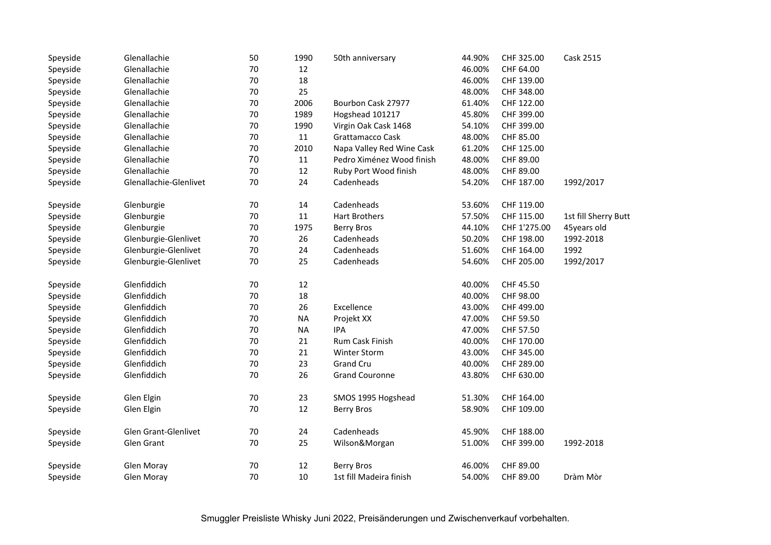| Speyside | Glenallachie           | 50 | 1990      | 50th anniversary          | 44.90% | CHF 325.00   | Cask 2515            |
|----------|------------------------|----|-----------|---------------------------|--------|--------------|----------------------|
| Speyside | Glenallachie           | 70 | 12        |                           | 46.00% | CHF 64.00    |                      |
| Speyside | Glenallachie           | 70 | 18        |                           | 46.00% | CHF 139.00   |                      |
| Speyside | Glenallachie           | 70 | 25        |                           | 48.00% | CHF 348.00   |                      |
| Speyside | Glenallachie           | 70 | 2006      | Bourbon Cask 27977        | 61.40% | CHF 122.00   |                      |
| Speyside | Glenallachie           | 70 | 1989      | Hogshead 101217           | 45.80% | CHF 399.00   |                      |
| Speyside | Glenallachie           | 70 | 1990      | Virgin Oak Cask 1468      | 54.10% | CHF 399.00   |                      |
| Speyside | Glenallachie           | 70 | $11\,$    | Grattamacco Cask          | 48.00% | CHF 85.00    |                      |
| Speyside | Glenallachie           | 70 | 2010      | Napa Valley Red Wine Cask | 61.20% | CHF 125.00   |                      |
| Speyside | Glenallachie           | 70 | 11        | Pedro Ximénez Wood finish | 48.00% | CHF 89.00    |                      |
| Speyside | Glenallachie           | 70 | 12        | Ruby Port Wood finish     | 48.00% | CHF 89.00    |                      |
| Speyside | Glenallachie-Glenlivet | 70 | 24        | Cadenheads                | 54.20% | CHF 187.00   | 1992/2017            |
| Speyside | Glenburgie             | 70 | 14        | Cadenheads                | 53.60% | CHF 119.00   |                      |
| Speyside | Glenburgie             | 70 | 11        | <b>Hart Brothers</b>      | 57.50% | CHF 115.00   | 1st fill Sherry Butt |
| Speyside | Glenburgie             | 70 | 1975      | <b>Berry Bros</b>         | 44.10% | CHF 1'275.00 | 45years old          |
| Speyside | Glenburgie-Glenlivet   | 70 | 26        | Cadenheads                | 50.20% | CHF 198.00   | 1992-2018            |
| Speyside | Glenburgie-Glenlivet   | 70 | 24        | Cadenheads                | 51.60% | CHF 164.00   | 1992                 |
| Speyside | Glenburgie-Glenlivet   | 70 | 25        | Cadenheads                | 54.60% | CHF 205.00   | 1992/2017            |
| Speyside | Glenfiddich            | 70 | 12        |                           | 40.00% | CHF 45.50    |                      |
| Speyside | Glenfiddich            | 70 | 18        |                           | 40.00% | CHF 98.00    |                      |
| Speyside | Glenfiddich            | 70 | 26        | Excellence                | 43.00% | CHF 499.00   |                      |
| Speyside | Glenfiddich            | 70 | <b>NA</b> | Projekt XX                | 47.00% | CHF 59.50    |                      |
| Speyside | Glenfiddich            | 70 | <b>NA</b> | <b>IPA</b>                | 47.00% | CHF 57.50    |                      |
| Speyside | Glenfiddich            | 70 | 21        | Rum Cask Finish           | 40.00% | CHF 170.00   |                      |
| Speyside | Glenfiddich            | 70 | 21        | <b>Winter Storm</b>       | 43.00% | CHF 345.00   |                      |
| Speyside | Glenfiddich            | 70 | 23        | Grand Cru                 | 40.00% | CHF 289.00   |                      |
| Speyside | Glenfiddich            | 70 | 26        | <b>Grand Couronne</b>     | 43.80% | CHF 630.00   |                      |
| Speyside | Glen Elgin             | 70 | 23        | SMOS 1995 Hogshead        | 51.30% | CHF 164.00   |                      |
| Speyside | Glen Elgin             | 70 | 12        | <b>Berry Bros</b>         | 58.90% | CHF 109.00   |                      |
| Speyside | Glen Grant-Glenlivet   | 70 | 24        | Cadenheads                | 45.90% | CHF 188.00   |                      |
| Speyside | Glen Grant             | 70 | 25        | Wilson&Morgan             | 51.00% | CHF 399.00   | 1992-2018            |
| Speyside | Glen Moray             | 70 | 12        | <b>Berry Bros</b>         | 46.00% | CHF 89.00    |                      |
| Speyside | <b>Glen Moray</b>      | 70 | 10        | 1st fill Madeira finish   | 54.00% | CHF 89.00    | Dràm Mòr             |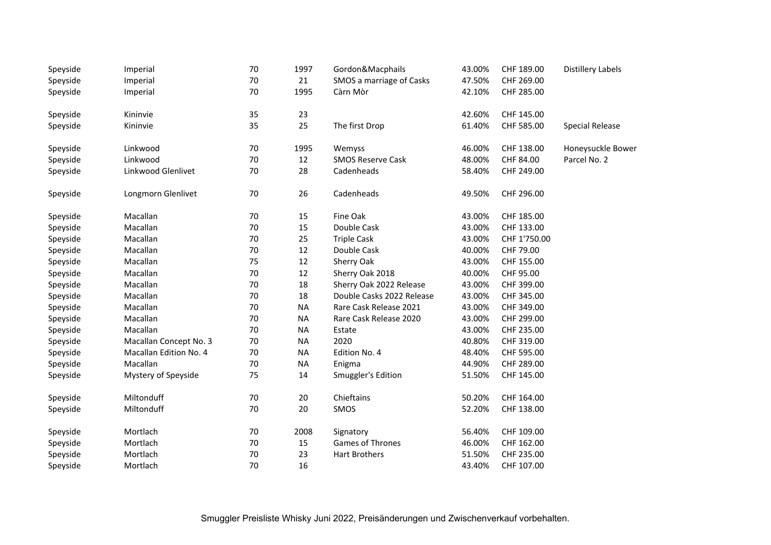| Speyside | Imperial               | 70 | 1997      | Gordon&Macphails          | 43.00% | CHF 189.00   | <b>Distillery Labels</b> |
|----------|------------------------|----|-----------|---------------------------|--------|--------------|--------------------------|
| Speyside | Imperial               | 70 | 21        | SMOS a marriage of Casks  | 47.50% | CHF 269.00   |                          |
| Speyside | Imperial               | 70 | 1995      | Càrn Mòr                  | 42.10% | CHF 285.00   |                          |
| Speyside | Kininvie               | 35 | 23        |                           | 42.60% | CHF 145.00   |                          |
| Speyside | Kininvie               | 35 | 25        | The first Drop            | 61.40% | CHF 585.00   | <b>Special Release</b>   |
| Speyside | Linkwood               | 70 | 1995      | Wemyss                    | 46.00% | CHF 138.00   | Honeysuckle Bower        |
| Speyside | Linkwood               | 70 | 12        | <b>SMOS Reserve Cask</b>  | 48.00% | CHF 84.00    | Parcel No. 2             |
| Speyside | Linkwood Glenlivet     | 70 | 28        | Cadenheads                | 58.40% | CHF 249.00   |                          |
| Speyside | Longmorn Glenlivet     | 70 | 26        | Cadenheads                | 49.50% | CHF 296.00   |                          |
| Speyside | Macallan               | 70 | 15        | Fine Oak                  | 43.00% | CHF 185.00   |                          |
| Speyside | Macallan               | 70 | 15        | Double Cask               | 43.00% | CHF 133.00   |                          |
| Speyside | Macallan               | 70 | 25        | <b>Triple Cask</b>        | 43.00% | CHF 1'750.00 |                          |
| Speyside | Macallan               | 70 | 12        | Double Cask               | 40.00% | CHF 79.00    |                          |
| Speyside | Macallan               | 75 | 12        | Sherry Oak                | 43.00% | CHF 155.00   |                          |
| Speyside | Macallan               | 70 | 12        | Sherry Oak 2018           | 40.00% | CHF 95.00    |                          |
| Speyside | Macallan               | 70 | 18        | Sherry Oak 2022 Release   | 43.00% | CHF 399.00   |                          |
| Speyside | Macallan               | 70 | 18        | Double Casks 2022 Release | 43.00% | CHF 345.00   |                          |
| Speyside | Macallan               | 70 | <b>NA</b> | Rare Cask Release 2021    | 43.00% | CHF 349.00   |                          |
| Speyside | Macallan               | 70 | <b>NA</b> | Rare Cask Release 2020    | 43.00% | CHF 299.00   |                          |
| Speyside | Macallan               | 70 | <b>NA</b> | Estate                    | 43.00% | CHF 235.00   |                          |
| Speyside | Macallan Concept No. 3 | 70 | <b>NA</b> | 2020                      | 40.80% | CHF 319.00   |                          |
| Speyside | Macallan Edition No. 4 | 70 | <b>NA</b> | Edition No. 4             | 48.40% | CHF 595.00   |                          |
| Speyside | Macallan               | 70 | <b>NA</b> | Enigma                    | 44.90% | CHF 289.00   |                          |
| Speyside | Mystery of Speyside    | 75 | 14        | Smuggler's Edition        | 51.50% | CHF 145.00   |                          |
| Speyside | Miltonduff             | 70 | 20        | Chieftains                | 50.20% | CHF 164.00   |                          |
| Speyside | Miltonduff             | 70 | 20        | SMOS                      | 52.20% | CHF 138.00   |                          |
| Speyside | Mortlach               | 70 | 2008      | Signatory                 | 56.40% | CHF 109.00   |                          |
| Speyside | Mortlach               | 70 | 15        | <b>Games of Thrones</b>   | 46.00% | CHF 162.00   |                          |
| Speyside | Mortlach               | 70 | 23        | <b>Hart Brothers</b>      | 51.50% | CHF 235.00   |                          |
| Speyside | Mortlach               | 70 | 16        |                           | 43.40% | CHF 107.00   |                          |
|          |                        |    |           |                           |        |              |                          |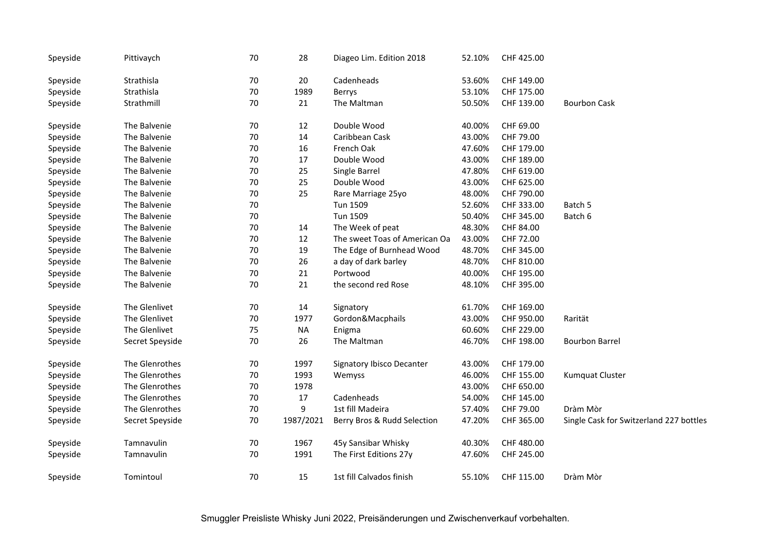| Speyside | Pittivaych      | 70     | 28        | Diageo Lim. Edition 2018      | 52.10% | CHF 425.00 |                                         |
|----------|-----------------|--------|-----------|-------------------------------|--------|------------|-----------------------------------------|
| Speyside | Strathisla      | $70\,$ | 20        | Cadenheads                    | 53.60% | CHF 149.00 |                                         |
| Speyside | Strathisla      | 70     | 1989      | Berrys                        | 53.10% | CHF 175.00 |                                         |
| Speyside | Strathmill      | 70     | 21        | The Maltman                   | 50.50% | CHF 139.00 | <b>Bourbon Cask</b>                     |
| Speyside | The Balvenie    | 70     | 12        | Double Wood                   | 40.00% | CHF 69.00  |                                         |
| Speyside | The Balvenie    | 70     | 14        | Caribbean Cask                | 43.00% | CHF 79.00  |                                         |
| Speyside | The Balvenie    | 70     | 16        | French Oak                    | 47.60% | CHF 179.00 |                                         |
| Speyside | The Balvenie    | 70     | 17        | Double Wood                   | 43.00% | CHF 189.00 |                                         |
| Speyside | The Balvenie    | 70     | 25        | Single Barrel                 | 47.80% | CHF 619.00 |                                         |
| Speyside | The Balvenie    | 70     | 25        | Double Wood                   | 43.00% | CHF 625.00 |                                         |
| Speyside | The Balvenie    | 70     | 25        | Rare Marriage 25yo            | 48.00% | CHF 790.00 |                                         |
| Speyside | The Balvenie    | 70     |           | Tun 1509                      | 52.60% | CHF 333.00 | Batch 5                                 |
| Speyside | The Balvenie    | $70\,$ |           | Tun 1509                      | 50.40% | CHF 345.00 | Batch 6                                 |
| Speyside | The Balvenie    | 70     | 14        | The Week of peat              | 48.30% | CHF 84.00  |                                         |
| Speyside | The Balvenie    | 70     | 12        | The sweet Toas of American Oa | 43.00% | CHF 72.00  |                                         |
| Speyside | The Balvenie    | 70     | 19        | The Edge of Burnhead Wood     | 48.70% | CHF 345.00 |                                         |
| Speyside | The Balvenie    | 70     | 26        | a day of dark barley          | 48.70% | CHF 810.00 |                                         |
| Speyside | The Balvenie    | 70     | 21        | Portwood                      | 40.00% | CHF 195.00 |                                         |
| Speyside | The Balvenie    | 70     | 21        | the second red Rose           | 48.10% | CHF 395.00 |                                         |
| Speyside | The Glenlivet   | 70     | 14        | Signatory                     | 61.70% | CHF 169.00 |                                         |
| Speyside | The Glenlivet   | 70     | 1977      | Gordon&Macphails              | 43.00% | CHF 950.00 | Rarität                                 |
| Speyside | The Glenlivet   | 75     | <b>NA</b> | Enigma                        | 60.60% | CHF 229.00 |                                         |
| Speyside | Secret Speyside | 70     | 26        | The Maltman                   | 46.70% | CHF 198.00 | <b>Bourbon Barrel</b>                   |
| Speyside | The Glenrothes  | 70     | 1997      | Signatory Ibisco Decanter     | 43.00% | CHF 179.00 |                                         |
| Speyside | The Glenrothes  | 70     | 1993      | Wemyss                        | 46.00% | CHF 155.00 | Kumquat Cluster                         |
| Speyside | The Glenrothes  | 70     | 1978      |                               | 43.00% | CHF 650.00 |                                         |
| Speyside | The Glenrothes  | 70     | 17        | Cadenheads                    | 54.00% | CHF 145.00 |                                         |
| Speyside | The Glenrothes  | 70     | 9         | 1st fill Madeira              | 57.40% | CHF 79.00  | Dràm Mòr                                |
| Speyside | Secret Speyside | 70     | 1987/2021 | Berry Bros & Rudd Selection   | 47.20% | CHF 365.00 | Single Cask for Switzerland 227 bottles |
| Speyside | Tamnavulin      | 70     | 1967      | 45y Sansibar Whisky           | 40.30% | CHF 480.00 |                                         |
| Speyside | Tamnavulin      | 70     | 1991      | The First Editions 27y        | 47.60% | CHF 245.00 |                                         |
| Speyside | Tomintoul       | 70     | 15        | 1st fill Calvados finish      | 55.10% | CHF 115.00 | Dràm Mòr                                |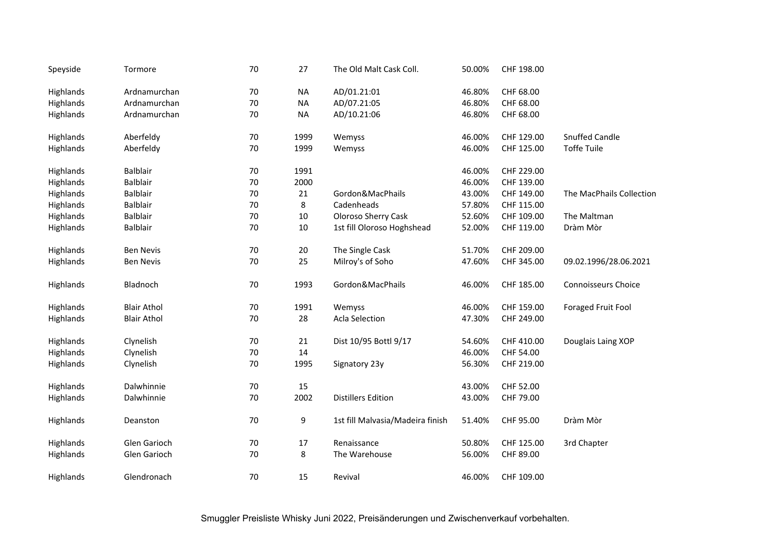| Tormore            | 70              | 27             | The Old Malt Cask Coll.          | 50.00% | CHF 198.00 |                            |
|--------------------|-----------------|----------------|----------------------------------|--------|------------|----------------------------|
| Ardnamurchan       | 70              | <b>NA</b>      | AD/01.21:01                      | 46.80% | CHF 68.00  |                            |
| Ardnamurchan       | 70              | <b>NA</b>      | AD/07.21:05                      | 46.80% | CHF 68.00  |                            |
| Ardnamurchan       | 70              | <b>NA</b>      | AD/10.21:06                      | 46.80% | CHF 68.00  |                            |
| Aberfeldy          | 70              | 1999           | Wemyss                           | 46.00% | CHF 129.00 | <b>Snuffed Candle</b>      |
| Aberfeldy          | 70              | 1999           | Wemyss                           | 46.00% | CHF 125.00 | <b>Toffe Tuile</b>         |
| <b>Balblair</b>    | 70              | 1991           |                                  | 46.00% | CHF 229.00 |                            |
|                    |                 |                |                                  |        |            |                            |
| <b>Balblair</b>    |                 | 21             | Gordon&MacPhails                 | 43.00% | CHF 149.00 | The MacPhails Collection   |
| <b>Balblair</b>    |                 | 8              | Cadenheads                       | 57.80% | CHF 115.00 |                            |
| <b>Balblair</b>    | 70              | $10\,$         | <b>Oloroso Sherry Cask</b>       | 52.60% | CHF 109.00 | The Maltman                |
| Balblair           | 70              | $10\,$         | 1st fill Oloroso Hoghshead       | 52.00% | CHF 119.00 | Dràm Mòr                   |
| <b>Ben Nevis</b>   | 70              | $20\,$         | The Single Cask                  | 51.70% | CHF 209.00 |                            |
| <b>Ben Nevis</b>   | 70              | 25             | Milroy's of Soho                 | 47.60% | CHF 345.00 | 09.02.1996/28.06.2021      |
| Bladnoch           | 70              | 1993           | Gordon&MacPhails                 | 46.00% | CHF 185.00 | <b>Connoisseurs Choice</b> |
| <b>Blair Athol</b> | 70              | 1991           | Wemyss                           | 46.00% | CHF 159.00 | <b>Foraged Fruit Fool</b>  |
| <b>Blair Athol</b> | 70              | 28             | <b>Acla Selection</b>            | 47.30% | CHF 249.00 |                            |
| Clynelish          | 70              | 21             | Dist 10/95 Bottl 9/17            | 54.60% | CHF 410.00 | Douglais Laing XOP         |
| Clynelish          | 70              | 14             |                                  | 46.00% | CHF 54.00  |                            |
| Clynelish          | 70              | 1995           | Signatory 23y                    | 56.30% | CHF 219.00 |                            |
| Dalwhinnie         | 70              | 15             |                                  | 43.00% | CHF 52.00  |                            |
| Dalwhinnie         | 70              | 2002           | <b>Distillers Edition</b>        | 43.00% | CHF 79.00  |                            |
| Deanston           | 70              | 9              | 1st fill Malvasia/Madeira finish | 51.40% | CHF 95.00  | Dràm Mòr                   |
| Glen Garioch       | 70              | 17             | Renaissance                      | 50.80% | CHF 125.00 | 3rd Chapter                |
| Glen Garioch       | 70              | 8              | The Warehouse                    | 56.00% | CHF 89.00  |                            |
| Glendronach        | 70              | 15             | Revival                          | 46.00% | CHF 109.00 |                            |
|                    | <b>Balblair</b> | 70<br>70<br>70 | 2000                             |        | 46.00%     | CHF 139.00                 |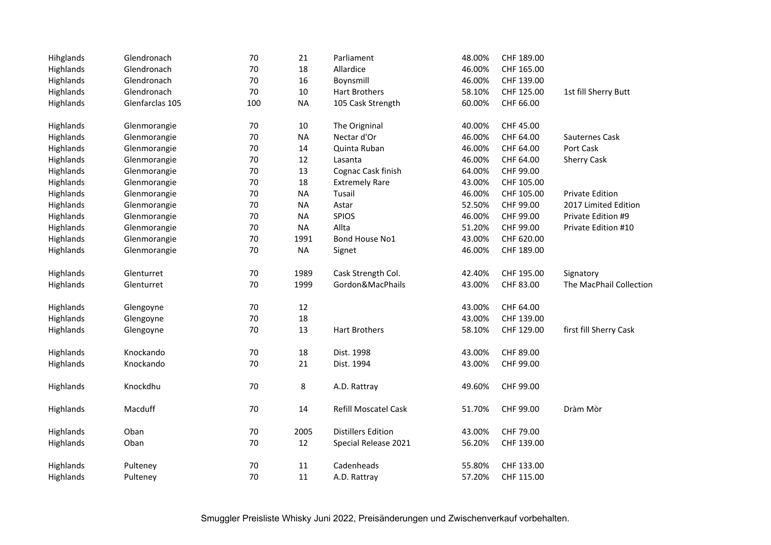| Hihglands | Glendronach     | 70     | 21        | Parliament                  | 48.00% | CHF 189.00 |                         |
|-----------|-----------------|--------|-----------|-----------------------------|--------|------------|-------------------------|
| Highlands | Glendronach     | 70     | 18        | Allardice                   | 46.00% | CHF 165.00 |                         |
| Highlands | Glendronach     | $70\,$ | 16        | Boynsmill                   | 46.00% | CHF 139.00 |                         |
| Highlands | Glendronach     | 70     | 10        | <b>Hart Brothers</b>        | 58.10% | CHF 125.00 | 1st fill Sherry Butt    |
| Highlands | Glenfarclas 105 | 100    | <b>NA</b> | 105 Cask Strength           | 60.00% | CHF 66.00  |                         |
| Highlands | Glenmorangie    | 70     | 10        | The Origninal               | 40.00% | CHF 45.00  |                         |
| Highlands | Glenmorangie    | 70     | <b>NA</b> | Nectar d'Or                 | 46.00% | CHF 64.00  | Sauternes Cask          |
| Highlands | Glenmorangie    | 70     | 14        | Quinta Ruban                | 46.00% | CHF 64.00  | Port Cask               |
| Highlands | Glenmorangie    | 70     | 12        | Lasanta                     | 46.00% | CHF 64.00  | <b>Sherry Cask</b>      |
| Highlands | Glenmorangie    | 70     | 13        | Cognac Cask finish          | 64.00% | CHF 99.00  |                         |
| Highlands | Glenmorangie    | 70     | 18        | <b>Extremely Rare</b>       | 43.00% | CHF 105.00 |                         |
| Highlands | Glenmorangie    | 70     | <b>NA</b> | Tusail                      | 46.00% | CHF 105.00 | <b>Private Edition</b>  |
| Highlands | Glenmorangie    | 70     | <b>NA</b> | Astar                       | 52.50% | CHF 99.00  | 2017 Limited Edition    |
| Highlands | Glenmorangie    | 70     | <b>NA</b> | <b>SPIOS</b>                | 46.00% | CHF 99.00  | Private Edition #9      |
| Highlands | Glenmorangie    | 70     | <b>NA</b> | Allta                       | 51.20% | CHF 99.00  | Private Edition #10     |
| Highlands | Glenmorangie    | $70\,$ | 1991      | Bond House No1              | 43.00% | CHF 620.00 |                         |
| Highlands | Glenmorangie    | 70     | <b>NA</b> | Signet                      | 46.00% | CHF 189.00 |                         |
| Highlands | Glenturret      | 70     | 1989      | Cask Strength Col.          | 42.40% | CHF 195.00 | Signatory               |
| Highlands | Glenturret      | 70     | 1999      | Gordon&MacPhails            | 43.00% | CHF 83.00  | The MacPhail Collection |
| Highlands | Glengoyne       | 70     | 12        |                             | 43.00% | CHF 64.00  |                         |
| Highlands | Glengoyne       | $70\,$ | 18        |                             | 43.00% | CHF 139.00 |                         |
| Highlands | Glengoyne       | 70     | 13        | <b>Hart Brothers</b>        | 58.10% | CHF 129.00 | first fill Sherry Cask  |
| Highlands | Knockando       | 70     | 18        | Dist. 1998                  | 43.00% | CHF 89.00  |                         |
| Highlands | Knockando       | 70     | 21        | Dist. 1994                  | 43.00% | CHF 99.00  |                         |
| Highlands | Knockdhu        | 70     | 8         | A.D. Rattray                | 49.60% | CHF 99.00  |                         |
| Highlands | Macduff         | 70     | 14        | <b>Refill Moscatel Cask</b> | 51.70% | CHF 99.00  | Dràm Mòr                |
| Highlands | Oban            | 70     | 2005      | <b>Distillers Edition</b>   | 43.00% | CHF 79.00  |                         |
| Highlands | Oban            | 70     | 12        | Special Release 2021        | 56.20% | CHF 139.00 |                         |
| Highlands | Pulteney        | 70     | 11        | Cadenheads                  | 55.80% | CHF 133.00 |                         |
| Highlands | Pulteney        | 70     | 11        | A.D. Rattray                | 57.20% | CHF 115.00 |                         |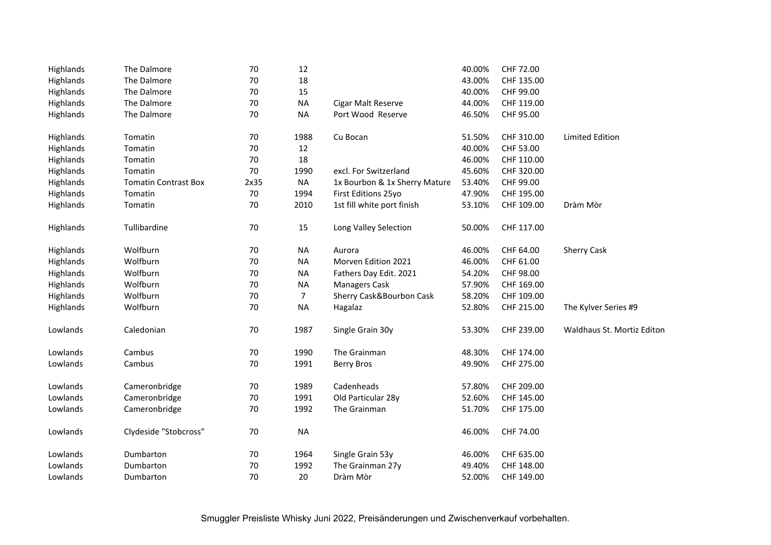| Highlands | The Dalmore                 | 70   | 12             |                               | 40.00% | CHF 72.00  |                            |
|-----------|-----------------------------|------|----------------|-------------------------------|--------|------------|----------------------------|
| Highlands | The Dalmore                 | 70   | 18             |                               | 43.00% | CHF 135.00 |                            |
| Highlands | The Dalmore                 | 70   | 15             |                               | 40.00% | CHF 99.00  |                            |
| Highlands | The Dalmore                 | 70   | <b>NA</b>      | Cigar Malt Reserve            | 44.00% | CHF 119.00 |                            |
| Highlands | The Dalmore                 | 70   | <b>NA</b>      | Port Wood Reserve             | 46.50% | CHF 95.00  |                            |
| Highlands | Tomatin                     | 70   | 1988           | Cu Bocan                      | 51.50% | CHF 310.00 | <b>Limited Edition</b>     |
| Highlands | Tomatin                     | 70   | 12             |                               | 40.00% | CHF 53.00  |                            |
| Highlands | Tomatin                     | 70   | 18             |                               | 46.00% | CHF 110.00 |                            |
| Highlands | Tomatin                     | 70   | 1990           | excl. For Switzerland         | 45.60% | CHF 320.00 |                            |
| Highlands | <b>Tomatin Contrast Box</b> | 2x35 | <b>NA</b>      | 1x Bourbon & 1x Sherry Mature | 53.40% | CHF 99.00  |                            |
| Highlands | Tomatin                     | 70   | 1994           | First Editions 25yo           | 47.90% | CHF 195.00 |                            |
| Highlands | Tomatin                     | 70   | 2010           | 1st fill white port finish    | 53.10% | CHF 109.00 | Dràm Mòr                   |
| Highlands | Tullibardine                | 70   | 15             | Long Valley Selection         | 50.00% | CHF 117.00 |                            |
| Highlands | Wolfburn                    | 70   | <b>NA</b>      | Aurora                        | 46.00% | CHF 64.00  | <b>Sherry Cask</b>         |
| Highlands | Wolfburn                    | 70   | <b>NA</b>      | Morven Edition 2021           | 46.00% | CHF 61.00  |                            |
| Highlands | Wolfburn                    | 70   | <b>NA</b>      | Fathers Day Edit. 2021        | 54.20% | CHF 98.00  |                            |
| Highlands | Wolfburn                    | 70   | <b>NA</b>      | <b>Managers Cask</b>          | 57.90% | CHF 169.00 |                            |
| Highlands | Wolfburn                    | 70   | $\overline{7}$ | Sherry Cask&Bourbon Cask      | 58.20% | CHF 109.00 |                            |
| Highlands | Wolfburn                    | 70   | <b>NA</b>      | Hagalaz                       | 52.80% | CHF 215.00 | The Kylver Series #9       |
| Lowlands  | Caledonian                  | 70   | 1987           | Single Grain 30y              | 53.30% | CHF 239.00 | Waldhaus St. Mortiz Editon |
| Lowlands  | Cambus                      | 70   | 1990           | The Grainman                  | 48.30% | CHF 174.00 |                            |
| Lowlands  | Cambus                      | 70   | 1991           | <b>Berry Bros</b>             | 49.90% | CHF 275.00 |                            |
| Lowlands  | Cameronbridge               | 70   | 1989           | Cadenheads                    | 57.80% | CHF 209.00 |                            |
| Lowlands  | Cameronbridge               | 70   | 1991           | Old Particular 28y            | 52.60% | CHF 145.00 |                            |
| Lowlands  | Cameronbridge               | 70   | 1992           | The Grainman                  | 51.70% | CHF 175.00 |                            |
| Lowlands  | Clydeside "Stobcross"       | 70   | <b>NA</b>      |                               | 46.00% | CHF 74.00  |                            |
| Lowlands  | Dumbarton                   | 70   | 1964           | Single Grain 53y              | 46.00% | CHF 635.00 |                            |
| Lowlands  | Dumbarton                   | 70   | 1992           | The Grainman 27y              | 49.40% | CHF 148.00 |                            |
| Lowlands  | Dumbarton                   | 70   | 20             | Dràm Mòr                      | 52.00% | CHF 149.00 |                            |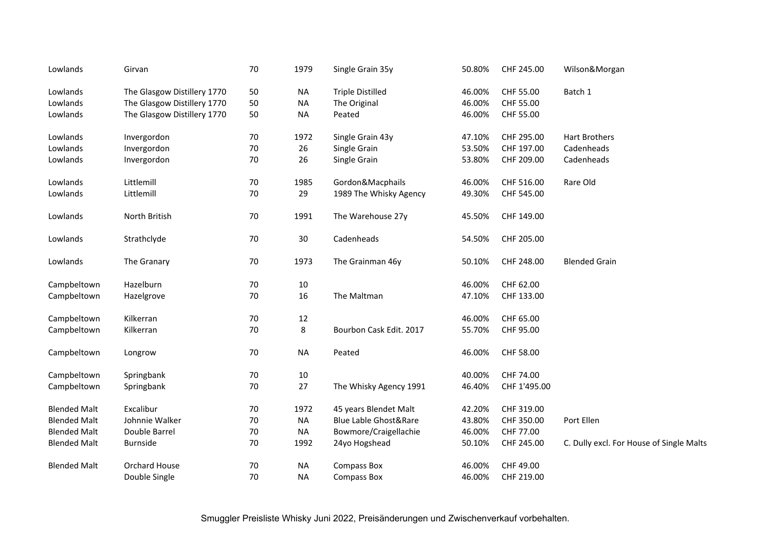| Lowlands            | Girvan                      | 70 | 1979      | Single Grain 35y                 | 50.80% | CHF 245.00   | Wilson&Morgan                            |
|---------------------|-----------------------------|----|-----------|----------------------------------|--------|--------------|------------------------------------------|
| Lowlands            | The Glasgow Distillery 1770 | 50 | <b>NA</b> | <b>Triple Distilled</b>          | 46.00% | CHF 55.00    | Batch 1                                  |
| Lowlands            | The Glasgow Distillery 1770 | 50 | <b>NA</b> | The Original                     | 46.00% | CHF 55.00    |                                          |
| Lowlands            | The Glasgow Distillery 1770 | 50 | <b>NA</b> | Peated                           | 46.00% | CHF 55.00    |                                          |
| Lowlands            | Invergordon                 | 70 | 1972      | Single Grain 43y                 | 47.10% | CHF 295.00   | Hart Brothers                            |
| Lowlands            | Invergordon                 | 70 | 26        | Single Grain                     | 53.50% | CHF 197.00   | Cadenheads                               |
| Lowlands            | Invergordon                 | 70 | 26        | Single Grain                     | 53.80% | CHF 209.00   | Cadenheads                               |
| Lowlands            | Littlemill                  | 70 | 1985      | Gordon&Macphails                 | 46.00% | CHF 516.00   | Rare Old                                 |
| Lowlands            | Littlemill                  | 70 | 29        | 1989 The Whisky Agency           | 49.30% | CHF 545.00   |                                          |
| Lowlands            | North British               | 70 | 1991      | The Warehouse 27y                | 45.50% | CHF 149.00   |                                          |
| Lowlands            | Strathclyde                 | 70 | 30        | Cadenheads                       | 54.50% | CHF 205.00   |                                          |
| Lowlands            | The Granary                 | 70 | 1973      | The Grainman 46y                 | 50.10% | CHF 248.00   | <b>Blended Grain</b>                     |
| Campbeltown         | Hazelburn                   | 70 | 10        |                                  | 46.00% | CHF 62.00    |                                          |
| Campbeltown         | Hazelgrove                  | 70 | 16        | The Maltman                      | 47.10% | CHF 133.00   |                                          |
| Campbeltown         | Kilkerran                   | 70 | $12\,$    |                                  | 46.00% | CHF 65.00    |                                          |
| Campbeltown         | Kilkerran                   | 70 | 8         | Bourbon Cask Edit. 2017          | 55.70% | CHF 95.00    |                                          |
| Campbeltown         | Longrow                     | 70 | <b>NA</b> | Peated                           | 46.00% | CHF 58.00    |                                          |
| Campbeltown         | Springbank                  | 70 | 10        |                                  | 40.00% | CHF 74.00    |                                          |
| Campbeltown         | Springbank                  | 70 | 27        | The Whisky Agency 1991           | 46.40% | CHF 1'495.00 |                                          |
| <b>Blended Malt</b> | Excalibur                   | 70 | 1972      | 45 years Blendet Malt            | 42.20% | CHF 319.00   |                                          |
| <b>Blended Malt</b> | Johnnie Walker              | 70 | <b>NA</b> | <b>Blue Lable Ghost&amp;Rare</b> | 43.80% | CHF 350.00   | Port Ellen                               |
| <b>Blended Malt</b> | Double Barrel               | 70 | <b>NA</b> | Bowmore/Craigellachie            | 46.00% | CHF 77.00    |                                          |
| <b>Blended Malt</b> | <b>Burnside</b>             | 70 | 1992      | 24yo Hogshead                    | 50.10% | CHF 245.00   | C. Dully excl. For House of Single Malts |
| <b>Blended Malt</b> | Orchard House               | 70 | <b>NA</b> | <b>Compass Box</b>               | 46.00% | CHF 49.00    |                                          |
|                     | Double Single               | 70 | <b>NA</b> | <b>Compass Box</b>               | 46.00% | CHF 219.00   |                                          |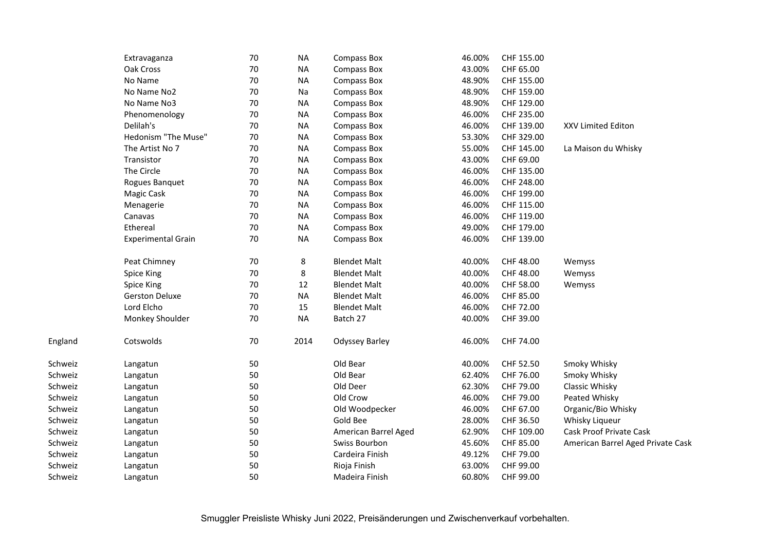|     | Extravaganza              | 70     | <b>NA</b> | <b>Compass Box</b>    | 46.00% | CHF 155.00 |                                   |
|-----|---------------------------|--------|-----------|-----------------------|--------|------------|-----------------------------------|
|     | Oak Cross                 | 70     | <b>NA</b> | Compass Box           | 43.00% | CHF 65.00  |                                   |
|     | No Name                   | $70\,$ | <b>NA</b> | Compass Box           | 48.90% | CHF 155.00 |                                   |
|     | No Name No2               | 70     | Na        | Compass Box           | 48.90% | CHF 159.00 |                                   |
|     | No Name No3               | 70     | <b>NA</b> | Compass Box           | 48.90% | CHF 129.00 |                                   |
|     | Phenomenology             | $70\,$ | <b>NA</b> | Compass Box           | 46.00% | CHF 235.00 |                                   |
|     | Delilah's                 | 70     | <b>NA</b> | <b>Compass Box</b>    | 46.00% | CHF 139.00 | XXV Limited Editon                |
|     | Hedonism "The Muse"       | 70     | <b>NA</b> | <b>Compass Box</b>    | 53.30% | CHF 329.00 |                                   |
|     | The Artist No 7           | 70     | <b>NA</b> | Compass Box           | 55.00% | CHF 145.00 | La Maison du Whisky               |
|     | Transistor                | 70     | <b>NA</b> | <b>Compass Box</b>    | 43.00% | CHF 69.00  |                                   |
|     | The Circle                | 70     | <b>NA</b> | Compass Box           | 46.00% | CHF 135.00 |                                   |
|     | Rogues Banquet            | 70     | <b>NA</b> | <b>Compass Box</b>    | 46.00% | CHF 248.00 |                                   |
|     | Magic Cask                | 70     | <b>NA</b> | <b>Compass Box</b>    | 46.00% | CHF 199.00 |                                   |
|     | Menagerie                 | 70     | <b>NA</b> | <b>Compass Box</b>    | 46.00% | CHF 115.00 |                                   |
|     | Canavas                   | $70\,$ | <b>NA</b> | <b>Compass Box</b>    | 46.00% | CHF 119.00 |                                   |
|     | Ethereal                  | 70     | <b>NA</b> | Compass Box           | 49.00% | CHF 179.00 |                                   |
|     | <b>Experimental Grain</b> | 70     | <b>NA</b> | <b>Compass Box</b>    | 46.00% | CHF 139.00 |                                   |
|     | Peat Chimney              | 70     | 8         | <b>Blendet Malt</b>   | 40.00% | CHF 48.00  | Wemyss                            |
|     | Spice King                | 70     | 8         | <b>Blendet Malt</b>   | 40.00% | CHF 48.00  | Wemyss                            |
|     | Spice King                | 70     | 12        | <b>Blendet Malt</b>   | 40.00% | CHF 58.00  | Wemyss                            |
|     | <b>Gerston Deluxe</b>     | $70\,$ | <b>NA</b> | <b>Blendet Malt</b>   | 46.00% | CHF 85.00  |                                   |
|     | Lord Elcho                | $70\,$ | 15        | <b>Blendet Malt</b>   | 46.00% | CHF 72.00  |                                   |
|     | Monkey Shoulder           | 70     | <b>NA</b> | Batch 27              | 40.00% | CHF 39.00  |                                   |
| d   | Cotswolds                 | 70     | 2014      | <b>Odyssey Barley</b> | 46.00% | CHF 74.00  |                                   |
| iz  | Langatun                  | 50     |           | Old Bear              | 40.00% | CHF 52.50  | Smoky Whisky                      |
| iz  | Langatun                  | 50     |           | Old Bear              | 62.40% | CHF 76.00  | Smoky Whisky                      |
| iz  | Langatun                  | 50     |           | Old Deer              | 62.30% | CHF 79.00  | Classic Whisky                    |
| iz. | Langatun                  | 50     |           | Old Crow              | 46.00% | CHF 79.00  | Peated Whisky                     |
| iz  | Langatun                  | 50     |           | Old Woodpecker        | 46.00% | CHF 67.00  | Organic/Bio Whisky                |
| iz. | Langatun                  | 50     |           | Gold Bee              | 28.00% | CHF 36.50  | Whisky Liqueur                    |
| iz  | Langatun                  | 50     |           | American Barrel Aged  | 62.90% | CHF 109.00 | <b>Cask Proof Private Cask</b>    |
| iz  | Langatun                  | 50     |           | Swiss Bourbon         | 45.60% | CHF 85.00  | American Barrel Aged Private Cask |
| iz  | Langatun                  | 50     |           | Cardeira Finish       | 49.12% | CHF 79.00  |                                   |
| iz  | Langatun                  | 50     |           | Rioja Finish          | 63.00% | CHF 99.00  |                                   |
| iz  | Langatun                  | 50     |           | Madeira Finish        | 60.80% | CHF 99.00  |                                   |
|     |                           |        |           |                       |        |            |                                   |

England

Schweiz

Schweiz

Schweiz

Schweiz

Schweiz

Schweiz

Schweiz

Schweiz

Schweiz

Schweiz

Schweiz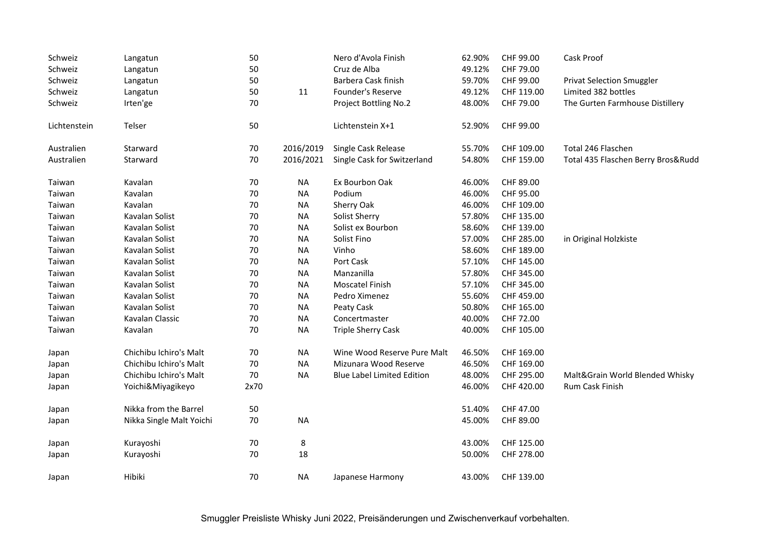| Schweiz      | Langatun                 | 50     |           | Nero d'Avola Finish               | 62.90% | CHF 99.00  | Cask Proof                         |
|--------------|--------------------------|--------|-----------|-----------------------------------|--------|------------|------------------------------------|
| Schweiz      | Langatun                 | 50     |           | Cruz de Alba                      | 49.12% | CHF 79.00  |                                    |
| Schweiz      | Langatun                 | 50     |           | Barbera Cask finish               | 59.70% | CHF 99.00  | <b>Privat Selection Smuggler</b>   |
| Schweiz      | Langatun                 | 50     | 11        | Founder's Reserve                 | 49.12% | CHF 119.00 | Limited 382 bottles                |
| Schweiz      | Irten'ge                 | 70     |           | Project Bottling No.2             | 48.00% | CHF 79.00  | The Gurten Farmhouse Distillery    |
| Lichtenstein | Telser                   | 50     |           | Lichtenstein X+1                  | 52.90% | CHF 99.00  |                                    |
| Australien   | Starward                 | 70     | 2016/2019 | Single Cask Release               | 55.70% | CHF 109.00 | Total 246 Flaschen                 |
| Australien   | Starward                 | 70     | 2016/2021 | Single Cask for Switzerland       | 54.80% | CHF 159.00 | Total 435 Flaschen Berry Bros&Rudd |
| Taiwan       | Kavalan                  | 70     | <b>NA</b> | Ex Bourbon Oak                    | 46.00% | CHF 89.00  |                                    |
| Taiwan       | Kavalan                  | 70     | <b>NA</b> | Podium                            | 46.00% | CHF 95.00  |                                    |
| Taiwan       | Kavalan                  | 70     | <b>NA</b> | Sherry Oak                        | 46.00% | CHF 109.00 |                                    |
| Taiwan       | Kavalan Solist           | $70\,$ | <b>NA</b> | Solist Sherry                     | 57.80% | CHF 135.00 |                                    |
| Taiwan       | Kavalan Solist           | 70     | <b>NA</b> | Solist ex Bourbon                 | 58.60% | CHF 139.00 |                                    |
| Taiwan       | Kavalan Solist           | 70     | <b>NA</b> | Solist Fino                       | 57.00% | CHF 285.00 | in Original Holzkiste              |
| Taiwan       | Kavalan Solist           | 70     | <b>NA</b> | Vinho                             | 58.60% | CHF 189.00 |                                    |
| Taiwan       | Kavalan Solist           | $70\,$ | <b>NA</b> | Port Cask                         | 57.10% | CHF 145.00 |                                    |
| Taiwan       | Kavalan Solist           | 70     | <b>NA</b> | Manzanilla                        | 57.80% | CHF 345.00 |                                    |
| Taiwan       | Kavalan Solist           | 70     | <b>NA</b> | Moscatel Finish                   | 57.10% | CHF 345.00 |                                    |
| Taiwan       | Kavalan Solist           | $70\,$ | <b>NA</b> | Pedro Ximenez                     | 55.60% | CHF 459.00 |                                    |
| Taiwan       | Kavalan Solist           | $70\,$ | <b>NA</b> | Peaty Cask                        | 50.80% | CHF 165.00 |                                    |
| Taiwan       | Kavalan Classic          | 70     | <b>NA</b> | Concertmaster                     | 40.00% | CHF 72.00  |                                    |
| Taiwan       | Kavalan                  | 70     | <b>NA</b> | <b>Triple Sherry Cask</b>         | 40.00% | CHF 105.00 |                                    |
| Japan        | Chichibu Ichiro's Malt   | $70\,$ | <b>NA</b> | Wine Wood Reserve Pure Malt       | 46.50% | CHF 169.00 |                                    |
| Japan        | Chichibu Ichiro's Malt   | 70     | <b>NA</b> | Mizunara Wood Reserve             | 46.50% | CHF 169.00 |                                    |
| Japan        | Chichibu Ichiro's Malt   | 70     | <b>NA</b> | <b>Blue Label Limited Edition</b> | 48.00% | CHF 295.00 | Malt&Grain World Blended Whisky    |
| Japan        | Yoichi&Miyagikeyo        | 2x70   |           |                                   | 46.00% | CHF 420.00 | Rum Cask Finish                    |
| Japan        | Nikka from the Barrel    | 50     |           |                                   | 51.40% | CHF 47.00  |                                    |
| Japan        | Nikka Single Malt Yoichi | 70     | <b>NA</b> |                                   | 45.00% | CHF 89.00  |                                    |
| Japan        | Kurayoshi                | 70     | 8         |                                   | 43.00% | CHF 125.00 |                                    |
| Japan        | Kurayoshi                | 70     | 18        |                                   | 50.00% | CHF 278.00 |                                    |
| Japan        | Hibiki                   | 70     | <b>NA</b> | Japanese Harmony                  | 43.00% | CHF 139.00 |                                    |